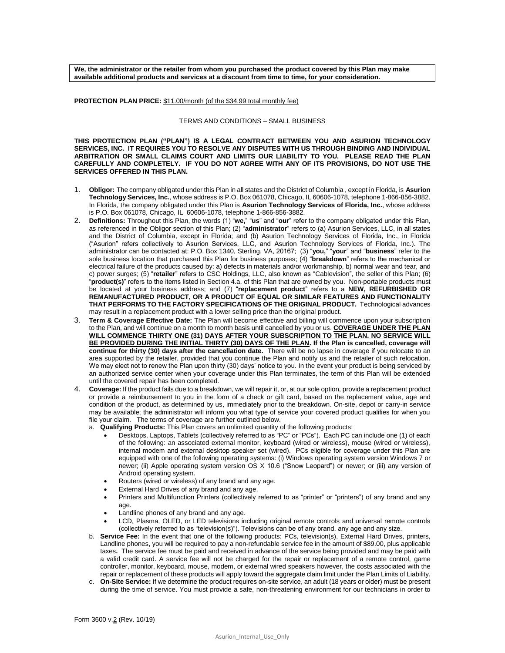**We, the administrator or the retailer from whom you purchased the product covered by this Plan may make available additional products and services at a discount from time to time, for your consideration.** 

**PROTECTION PLAN PRICE:** \$11.00/month (of the \$34.99 total monthly fee)

## TERMS AND CONDITIONS – SMALL BUSINESS

**THIS PROTECTION PLAN ("PLAN") IS A LEGAL CONTRACT BETWEEN YOU AND ASURION TECHNOLOGY SERVICES, INC. IT REQUIRES YOU TO RESOLVE ANY DISPUTES WITH US THROUGH BINDING AND INDIVIDUAL ARBITRATION OR SMALL CLAIMS COURT AND LIMITS OUR LIABILITY TO YOU. PLEASE READ THE PLAN CAREFULLY AND COMPLETELY. IF YOU DO NOT AGREE WITH ANY OF ITS PROVISIONS, DO NOT USE THE SERVICES OFFERED IN THIS PLAN.**

- 1. **Obligor:** The company obligated under this Plan in all states and the District of Columbia , except in Florida, is **Asurion Technology Services, Inc.**, whose address is P.O. Box 061078, Chicago, IL 60606-1078, telephone 1-866-856-3882. In Florida, the company obligated under this Plan is **Asurion Technology Services of Florida, Inc.**, whose address is P.O. Box 061078, Chicago, IL 60606-1078, telephone 1-866-856-3882.
- 2. **Definitions:** Throughout this Plan, the words (1) "**we,**" "**us**" and "**our**" refer to the company obligated under this Plan, as referenced in the Obligor section of this Plan; (2) "**administrator**" refers to (a) Asurion Services, LLC, in all states and the District of Columbia, except in Florida; and (b) Asurion Technology Services of Florida, Inc., in Florida ("Asurion" refers collectively to Asurion Services, LLC, and Asurion Technology Services of Florida, Inc.). The administrator can be contacted at: P.O. Box 1340, Sterling, VA, 20167; (3) "**you,**" "**your**" and "**business**" refer to the sole business location that purchased this Plan for business purposes; (4) "**breakdown**" refers to the mechanical or electrical failure of the products caused by: a) defects in materials and/or workmanship, b) normal wear and tear, and c) power surges; (5) "**retailer**" refers to CSC Holdings, LLC, also known as "Cablevision", the seller of this Plan; (6) "**product(s)**" refers to the items listed in Section 4.a. of this Plan that are owned by you. Non-portable products must be located at your business address; and (7) "**replacement product**" refers to a **NEW, REFURBISHED OR REMANUFACTURED PRODUCT, OR A PRODUCT OF EQUAL OR SIMILAR FEATURES AND FUNCTIONALITY THAT PERFORMS TO THE FACTORY SPECIFICATIONS OF THE ORIGINAL PRODUCT.** Technological advances may result in a replacement product with a lower selling price than the original product.
- 3. **Term & Coverage Effective Date:** The Plan will become effective and billing will commence upon your subscription to the Plan, and will continue on a month to month basis until cancelled by you or us. **COVERAGE UNDER THE PLAN WILL COMMENCE THIRTY ONE (31) DAYS AFTER YOUR SUBSCRIPTION TO THE PLAN. NO SERVICE WILL BE PROVIDED DURING THE INITIAL THIRTY (30) DAYS OF THE PLAN. If the Plan is cancelled, coverage will continue for thirty (30) days after the cancellation date.** There will be no lapse in coverage if you relocate to an area supported by the retailer, provided that you continue the Plan and notify us and the retailer of such relocation. We may elect not to renew the Plan upon thirty (30) days' notice to you. In the event your product is being serviced by an authorized service center when your coverage under this Plan terminates, the term of this Plan will be extended until the covered repair has been completed.
- 4. **Coverage:** If the product fails due to a breakdown, we will repair it, or, at our sole option, provide a replacement product or provide a reimbursement to you in the form of a check or gift card, based on the replacement value, age and condition of the product, as determined by us, immediately prior to the breakdown. On-site, depot or carry-in service may be available; the administrator will inform you what type of service your covered product qualifies for when you file your claim. The terms of coverage are further outlined below.
	- a. **Qualifying Products:** This Plan covers an unlimited quantity of the following products:
		- Desktops, Laptops, Tablets (collectively referred to as "PC" or "PCs"). Each PC can include one (1) of each of the following: an associated external monitor, keyboard (wired or wireless), mouse (wired or wireless), internal modem and external desktop speaker set (wired). PCs eligible for coverage under this Plan are equipped with one of the following operating systems: (i) Windows operating system version Windows 7 or newer; (ii) Apple operating system version OS X 10.6 ("Snow Leopard") or newer; or (iii) any version of Android operating system.
		- Routers (wired or wireless) of any brand and any age.
		- External Hard Drives of any brand and any age.
		- Printers and Multifunction Printers (collectively referred to as "printer" or "printers") of any brand and any age.
		- Landline phones of any brand and any age.
		- LCD, Plasma, OLED, or LED televisions including original remote controls and universal remote controls (collectively referred to as "television(s)"). Televisions can be of any brand, any age and any size.
	- b. **Service Fee:** In the event that one of the following products: PCs, television(s), External Hard Drives, printers, Landline phones, you will be required to pay a non-refundable service fee in the amount of \$89.00, plus applicable taxes**.** The service fee must be paid and received in advance of the service being provided and may be paid with a valid credit card. A service fee will not be charged for the repair or replacement of a remote control, game controller, monitor, keyboard, mouse, modem, or external wired speakers however, the costs associated with the repair or replacement of these products will apply toward the aggregate claim limit under the Plan Limits of Liability.
	- c. **On-Site Service:** If we determine the product requires on-site service, an adult (18 years or older) must be present during the time of service. You must provide a safe, non-threatening environment for our technicians in order to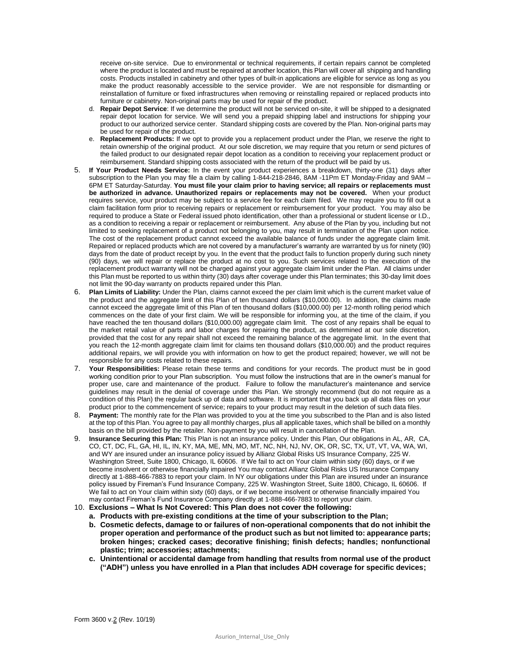receive on-site service. Due to environmental or technical requirements, if certain repairs cannot be completed where the product is located and must be repaired at another location, this Plan will cover all shipping and handling costs. Products installed in cabinetry and other types of built-in applications are eligible for service as long as you make the product reasonably accessible to the service provider. We are not responsible for dismantling or reinstallation of furniture or fixed infrastructures when removing or reinstalling repaired or replaced products into furniture or cabinetry. Non-original parts may be used for repair of the product.

- d. **Repair Depot Service**: If we determine the product will not be serviced on-site, it will be shipped to a designated repair depot location for service. We will send you a prepaid shipping label and instructions for shipping your product to our authorized service center. Standard shipping costs are covered by the Plan. Non-original parts may be used for repair of the product.
- e. **Replacement Products:** If we opt to provide you a replacement product under the Plan, we reserve the right to retain ownership of the original product. At our sole discretion, we may require that you return or send pictures of the failed product to our designated repair depot location as a condition to receiving your replacement product or reimbursement. Standard shipping costs associated with the return of the product will be paid by us.
- 5. **If Your Product Needs Service:** In the event your product experiences a breakdown, thirty-one (31) days after subscription to the Plan you may file a claim by calling 1-844-218-2846, 8AM -11Pm ET Monday-Friday and 9AM – 6PM ET Saturday-Saturday. **You must file your claim prior to having service; all repairs or replacements must be authorized in advance. Unauthorized repairs or replacements may not be covered.** When your product requires service, your product may be subject to a service fee for each claim filed. We may require you to fill out a claim facilitation form prior to receiving repairs or replacement or reimbursement for your product. You may also be required to produce a State or Federal issued photo identification, other than a professional or student license or I.D., as a condition to receiving a repair or replacement or reimbursement. Any abuse of the Plan by you, including but not limited to seeking replacement of a product not belonging to you, may result in termination of the Plan upon notice. The cost of the replacement product cannot exceed the available balance of funds under the aggregate claim limit. Repaired or replaced products which are not covered by a manufacturer's warranty are warranted by us for ninety (90) days from the date of product receipt by you. In the event that the product fails to function properly during such ninety (90) days, we will repair or replace the product at no cost to you. Such services related to the execution of the replacement product warranty will not be charged against your aggregate claim limit under the Plan. All claims under this Plan must be reported to us within thirty (30) days after coverage under this Plan terminates; this 30-day limit does not limit the 90-day warranty on products repaired under this Plan.
- 6. **Plan Limits of Liability:** Under the Plan, claims cannot exceed the per claim limit which is the current market value of the product and the aggregate limit of this Plan of ten thousand dollars (\$10,000.00). In addition, the claims made cannot exceed the aggregate limit of this Plan of ten thousand dollars (\$10,000.00) per 12-month rolling period which commences on the date of your first claim. We will be responsible for informing you, at the time of the claim, if you have reached the ten thousand dollars (\$10,000.00) aggregate claim limit. The cost of any repairs shall be equal to the market retail value of parts and labor charges for repairing the product, as determined at our sole discretion, provided that the cost for any repair shall not exceed the remaining balance of the aggregate limit. In the event that you reach the 12-month aggregate claim limit for claims ten thousand dollars (\$10,000.00) and the product requires additional repairs, we will provide you with information on how to get the product repaired; however, we will not be responsible for any costs related to these repairs.
- 7. **Your Responsibilities:** Please retain these terms and conditions for your records. The product must be in good working condition prior to your Plan subscription. You must follow the instructions that are in the owner's manual for proper use, care and maintenance of the product. Failure to follow the manufacturer's maintenance and service guidelines may result in the denial of coverage under this Plan. We strongly recommend (but do not require as a condition of this Plan) the regular back up of data and software. It is important that you back up all data files on your product prior to the commencement of service; repairs to your product may result in the deletion of such data files.
- 8. **Payment:** The monthly rate for the Plan was provided to you at the time you subscribed to the Plan and is also listed at the top of this Plan. You agree to pay all monthly charges, plus all applicable taxes, which shall be billed on a monthly basis on the bill provided by the retailer. Non-payment by you will result in cancellation of the Plan.
- 9. **Insurance Securing this Plan:** This Plan is not an insurance policy. Under this Plan, Our obligations in AL, AR, CA, CO, CT, DC, FL, GA, HI, IL, IN, KY, MA, ME, MN, MO, MT, NC, NH, NJ, NV, OK, OR, SC, TX, UT, VT, VA, WA, WI, and WY are insured under an insurance policy issued by Allianz Global Risks US Insurance Company, 225 W. Washington Street, Suite 1800, Chicago, IL 60606. If We fail to act on Your claim within sixty (60) days, or if we become insolvent or otherwise financially impaired You may contact Allianz Global Risks US Insurance Company directly at 1-888-466-7883 to report your claim. In NY our obligations under this Plan are insured under an insurance policy issued by Fireman's Fund Insurance Company, 225 W. Washington Street, Suite 1800, Chicago, IL 60606. If We fail to act on Your claim within sixty (60) days, or if we become insolvent or otherwise financially impaired You may contact Fireman's Fund Insurance Company directly at 1-888-466-7883 to report your claim.
- 10. **Exclusions – What Is Not Covered: This Plan does not cover the following:**
	- **a. Products with pre-existing conditions at the time of your subscription to the Plan;**
	- **b. Cosmetic defects, damage to or failures of non-operational components that do not inhibit the proper operation and performance of the product such as but not limited to: appearance parts; broken hinges; cracked cases; decorative finishing; finish defects; handles; nonfunctional plastic; trim; accessories; attachments;**
	- **c. Unintentional or accidental damage from handling that results from normal use of the product ("ADH") unless you have enrolled in a Plan that includes ADH coverage for specific devices;**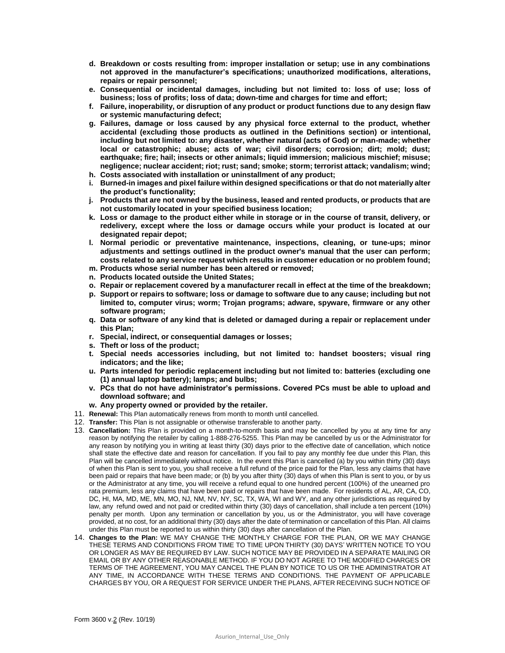- **d. Breakdown or costs resulting from: improper installation or setup; use in any combinations not approved in the manufacturer's specifications; unauthorized modifications, alterations, repairs or repair personnel;**
- **e. Consequential or incidental damages, including but not limited to: loss of use; loss of business; loss of profits; loss of data; down-time and charges for time and effort;**
- **f. Failure, inoperability, or disruption of any product or product functions due to any design flaw or systemic manufacturing defect;**
- **g. Failures, damage or loss caused by any physical force external to the product, whether accidental (excluding those products as outlined in the Definitions section) or intentional, including but not limited to: any disaster, whether natural (acts of God) or man-made; whether local or catastrophic; abuse; acts of war; civil disorders; corrosion; dirt; mold; dust; earthquake; fire; hail; insects or other animals; liquid immersion; malicious mischief; misuse; negligence; nuclear accident; riot; rust; sand; smoke; storm; terrorist attack; vandalism; wind;**
- **h. Costs associated with installation or uninstallment of any product;**
- **i. Burned-in images and pixel failure within designed specifications or that do not materially alter the product's functionality;**
- **j. Products that are not owned by the business, leased and rented products, or products that are not customarily located in your specified business location;**
- **k. Loss or damage to the product either while in storage or in the course of transit, delivery, or redelivery, except where the loss or damage occurs while your product is located at our designated repair depot;**
- **l. Normal periodic or preventative maintenance, inspections, cleaning, or tune-ups; minor adjustments and settings outlined in the product owner's manual that the user can perform; costs related to any service request which results in customer education or no problem found;**
- **m. Products whose serial number has been altered or removed;**
- **n. Products located outside the United States;**
- **o. Repair or replacement covered by a manufacturer recall in effect at the time of the breakdown;**
- **p. Support or repairs to software; loss or damage to software due to any cause; including but not limited to, computer virus; worm; Trojan programs; adware, spyware, firmware or any other software program;**
- **q. Data or software of any kind that is deleted or damaged during a repair or replacement under this Plan;**
- **r. Special, indirect, or consequential damages or losses;**
- **s. Theft or loss of the product;**
- **t. Special needs accessories including, but not limited to: handset boosters; visual ring indicators; and the like;**
- **u. Parts intended for periodic replacement including but not limited to: batteries (excluding one (1) annual laptop battery); lamps; and bulbs;**
- **v. PCs that do not have administrator's permissions. Covered PCs must be able to upload and download software; and**
- **w. Any property owned or provided by the retailer.**
- 11. **Renewal:** This Plan automatically renews from month to month until cancelled.
- 12. **Transfer:** This Plan is not assignable or otherwise transferable to another party.
- 13. **Cancellation:** This Plan is provided on a month-to-month basis and may be cancelled by you at any time for any reason by notifying the retailer by calling 1-888-276-5255. This Plan may be cancelled by us or the Administrator for any reason by notifying you in writing at least thirty (30) days prior to the effective date of cancellation, which notice shall state the effective date and reason for cancellation. If you fail to pay any monthly fee due under this Plan, this Plan will be cancelled immediately without notice. In the event this Plan is cancelled (a) by you within thirty (30) days of when this Plan is sent to you, you shall receive a full refund of the price paid for the Plan, less any claims that have been paid or repairs that have been made; or (b) by you after thirty (30) days of when this Plan is sent to you, or by us or the Administrator at any time, you will receive a refund equal to one hundred percent (100%) of the unearned pro rata premium, less any claims that have been paid or repairs that have been made. For residents of AL, AR, CA, CO, DC, HI, MA, MD, ME, MN, MO, NJ, NM, NV, NY, SC, TX, WA, WI and WY, and any other jurisdictions as required by law, any refund owed and not paid or credited within thirty (30) days of cancellation, shall include a ten percent (10%) penalty per month. Upon any termination or cancellation by you, us or the Administrator, you will have coverage provided, at no cost, for an additional thirty (30) days after the date of termination or cancellation of this Plan. All claims under this Plan must be reported to us within thirty (30) days after cancellation of the Plan.
- 14. **Changes to the Plan:** WE MAY CHANGE THE MONTHLY CHARGE FOR THE PLAN, OR WE MAY CHANGE THESE TERMS AND CONDITIONS FROM TIME TO TIME UPON THIRTY (30) DAYS' WRITTEN NOTICE TO YOU OR LONGER AS MAY BE REQUIRED BY LAW. SUCH NOTICE MAY BE PROVIDED IN A SEPARATE MAILING OR EMAIL OR BY ANY OTHER REASONABLE METHOD. IF YOU DO NOT AGREE TO THE MODIFIED CHARGES OR TERMS OF THE AGREEMENT, YOU MAY CANCEL THE PLAN BY NOTICE TO US OR THE ADMINISTRATOR AT ANY TIME, IN ACCORDANCE WITH THESE TERMS AND CONDITIONS. THE PAYMENT OF APPLICABLE CHARGES BY YOU, OR A REQUEST FOR SERVICE UNDER THE PLANS, AFTER RECEIVING SUCH NOTICE OF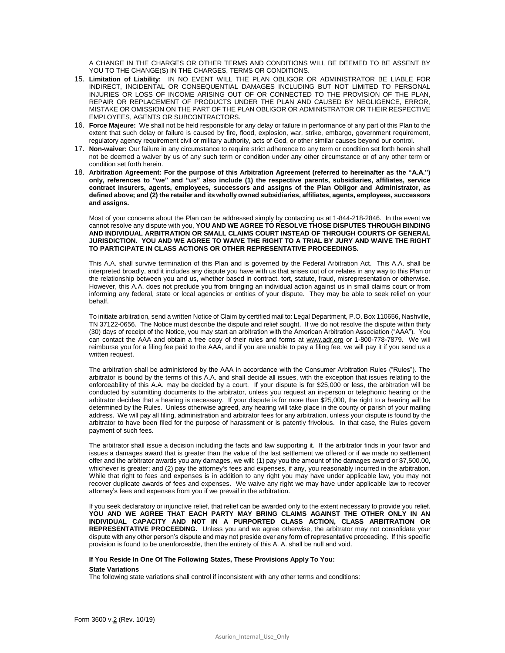A CHANGE IN THE CHARGES OR OTHER TERMS AND CONDITIONS WILL BE DEEMED TO BE ASSENT BY YOU TO THE CHANGE(S) IN THE CHARGES, TERMS OR CONDITIONS.

- 15. **Limitation of Liability:** IN NO EVENT WILL THE PLAN OBLIGOR OR ADMINISTRATOR BE LIABLE FOR INDIRECT, INCIDENTAL OR CONSEQUENTIAL DAMAGES INCLUDING BUT NOT LIMITED TO PERSONAL INJURIES OR LOSS OF INCOME ARISING OUT OF OR CONNECTED TO THE PROVISION OF THE PLAN, REPAIR OR REPLACEMENT OF PRODUCTS UNDER THE PLAN AND CAUSED BY NEGLIGENCE, ERROR, MISTAKE OR OMISSION ON THE PART OF THE PLAN OBLIGOR OR ADMINISTRATOR OR THEIR RESPECTIVE EMPLOYEES, AGENTS OR SUBCONTRACTORS.
- 16. **Force Majeure:** We shall not be held responsible for any delay or failure in performance of any part of this Plan to the extent that such delay or failure is caused by fire, flood, explosion, war, strike, embargo, government requirement, regulatory agency requirement civil or military authority, acts of God, or other similar causes beyond our control.
- 17. **Non-waiver:** Our failure in any circumstance to require strict adherence to any term or condition set forth herein shall not be deemed a waiver by us of any such term or condition under any other circumstance or of any other term or condition set forth herein.
- 18. **Arbitration Agreement: For the purpose of this Arbitration Agreement (referred to hereinafter as the "A.A.") only, references to "we" and "us" also include (1) the respective parents, subsidiaries, affiliates, service contract insurers, agents, employees, successors and assigns of the Plan Obligor and Administrator, as defined above; and (2) the retailer and its wholly owned subsidiaries, affiliates, agents, employees, successors and assigns.**

Most of your concerns about the Plan can be addressed simply by contacting us at 1-844-218-2846. In the event we cannot resolve any dispute with you, **YOU AND WE AGREE TO RESOLVE THOSE DISPUTES THROUGH BINDING AND INDIVIDUAL ARBITRATION OR SMALL CLAIMS COURT INSTEAD OF THROUGH COURTS OF GENERAL JURISDICTION. YOU AND WE AGREE TO WAIVE THE RIGHT TO A TRIAL BY JURY AND WAIVE THE RIGHT TO PARTICIPATE IN CLASS ACTIONS OR OTHER REPRESENTATIVE PROCEEDINGS.** 

This A.A. shall survive termination of this Plan and is governed by the Federal Arbitration Act. This A.A. shall be interpreted broadly, and it includes any dispute you have with us that arises out of or relates in any way to this Plan or the relationship between you and us, whether based in contract, tort, statute, fraud, misrepresentation or otherwise. However, this A.A. does not preclude you from bringing an individual action against us in small claims court or from informing any federal, state or local agencies or entities of your dispute. They may be able to seek relief on your behalf.

To initiate arbitration, send a written Notice of Claim by certified mail to: Legal Department, P.O. Box 110656, Nashville, TN 37122-0656. The Notice must describe the dispute and relief sought. If we do not resolve the dispute within thirty (30) days of receipt of the Notice, you may start an arbitration with the American Arbitration Association ("AAA"). You can contact the AAA and obtain a free copy of their rules and forms at [www.adr.org](http://www.adr.org/) or 1-800-778-7879. We will reimburse you for a filing fee paid to the AAA, and if you are unable to pay a filing fee, we will pay it if you send us a written request.

The arbitration shall be administered by the AAA in accordance with the Consumer Arbitration Rules ("Rules"). The arbitrator is bound by the terms of this A.A. and shall decide all issues, with the exception that issues relating to the enforceability of this A.A. may be decided by a court. If your dispute is for \$25,000 or less, the arbitration will be conducted by submitting documents to the arbitrator, unless you request an in-person or telephonic hearing or the arbitrator decides that a hearing is necessary. If your dispute is for more than \$25,000, the right to a hearing will be determined by the Rules. Unless otherwise agreed, any hearing will take place in the county or parish of your mailing address. We will pay all filing, administration and arbitrator fees for any arbitration, unless your dispute is found by the arbitrator to have been filed for the purpose of harassment or is patently frivolous. In that case, the Rules govern payment of such fees.

The arbitrator shall issue a decision including the facts and law supporting it. If the arbitrator finds in your favor and issues a damages award that is greater than the value of the last settlement we offered or if we made no settlement offer and the arbitrator awards you any damages, we will: (1) pay you the amount of the damages award or \$7,500.00, whichever is greater; and (2) pay the attorney's fees and expenses, if any, you reasonably incurred in the arbitration. While that right to fees and expenses is in addition to any right you may have under applicable law, you may not recover duplicate awards of fees and expenses. We waive any right we may have under applicable law to recover attorney's fees and expenses from you if we prevail in the arbitration.

If you seek declaratory or injunctive relief, that relief can be awarded only to the extent necessary to provide you relief. **YOU AND WE AGREE THAT EACH PARTY MAY BRING CLAIMS AGAINST THE OTHER ONLY IN AN INDIVIDUAL CAPACITY AND NOT IN A PURPORTED CLASS ACTION, CLASS ARBITRATION OR REPRESENTATIVE PROCEEDING.** Unless you and we agree otherwise, the arbitrator may not consolidate your dispute with any other person's dispute and may not preside over any form of representative proceeding. If this specific provision is found to be unenforceable, then the entirety of this A. A. shall be null and void.

## **If You Reside In One Of The Following States, These Provisions Apply To You:**

## **State Variations**

The following state variations shall control if inconsistent with any other terms and conditions: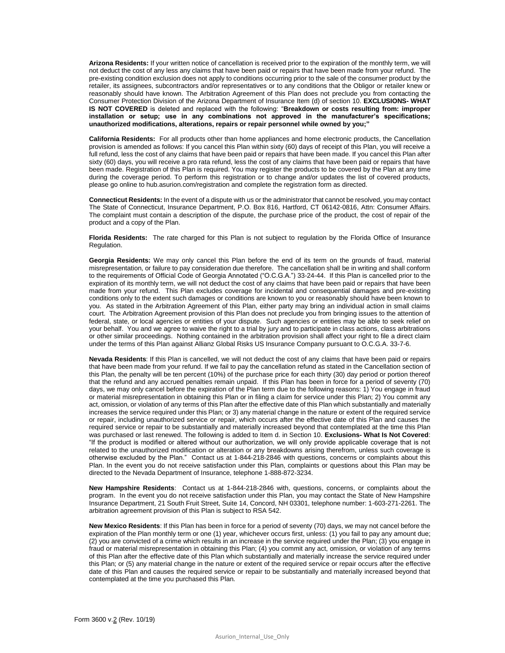**Arizona Residents:** If your written notice of cancellation is received prior to the expiration of the monthly term, we will not deduct the cost of any less any claims that have been paid or repairs that have been made from your refund. The pre-existing condition exclusion does not apply to conditions occurring prior to the sale of the consumer product by the retailer, its assignees, subcontractors and/or representatives or to any conditions that the Obligor or retailer knew or reasonably should have known. The Arbitration Agreement of this Plan does not preclude you from contacting the Consumer Protection Division of the Arizona Department of Insurance Item (d) of section 10. **EXCLUSIONS- WHAT IS NOT COVERED** is deleted and replaced with the following: "**Breakdown or costs resulting from: improper installation or setup; use in any combinations not approved in the manufacturer's specifications; unauthorized modifications, alterations, repairs or repair personnel while owned by you;"**

**California Residents:** For all products other than home appliances and home electronic products, the Cancellation provision is amended as follows: If you cancel this Plan within sixty (60) days of receipt of this Plan, you will receive a full refund, less the cost of any claims that have been paid or repairs that have been made. If you cancel this Plan after sixty (60) days, you will receive a pro rata refund, less the cost of any claims that have been paid or repairs that have been made. Registration of this Plan is required. You may register the products to be covered by the Plan at any time during the coverage period. To perform this registration or to change and/or updates the list of covered products, please go online to hub.asurion.com/registration and complete the registration form as directed.

**Connecticut Residents:** In the event of a dispute with us or the administrator that cannot be resolved, you may contact The State of Connecticut, Insurance Department, P.O. Box 816, Hartford, CT 06142-0816, Attn: Consumer Affairs. The complaint must contain a description of the dispute, the purchase price of the product, the cost of repair of the product and a copy of the Plan.

**Florida Residents:** The rate charged for this Plan is not subject to regulation by the Florida Office of Insurance Regulation.

**Georgia Residents:** We may only cancel this Plan before the end of its term on the grounds of fraud, material misrepresentation, or failure to pay consideration due therefore. The cancellation shall be in writing and shall conform to the requirements of Official Code of Georgia Annotated ("O.C.G.A.") 33-24-44. If this Plan is cancelled prior to the expiration of its monthly term, we will not deduct the cost of any claims that have been paid or repairs that have been made from your refund. This Plan excludes coverage for incidental and consequential damages and pre-existing conditions only to the extent such damages or conditions are known to you or reasonably should have been known to you. As stated in the Arbitration Agreement of this Plan, either party may bring an individual action in small claims court. The Arbitration Agreement provision of this Plan does not preclude you from bringing issues to the attention of federal, state, or local agencies or entities of your dispute. Such agencies or entities may be able to seek relief on your behalf. You and we agree to waive the right to a trial by jury and to participate in class actions, class arbitrations or other similar proceedings. Nothing contained in the arbitration provision shall affect your right to file a direct claim under the terms of this Plan against Allianz Global Risks US Insurance Company pursuant to O.C.G.A. 33-7-6.

**Nevada Residents**: If this Plan is cancelled, we will not deduct the cost of any claims that have been paid or repairs that have been made from your refund. If we fail to pay the cancellation refund as stated in the Cancellation section of this Plan, the penalty will be ten percent (10%) of the purchase price for each thirty (30) day period or portion thereof that the refund and any accrued penalties remain unpaid. If this Plan has been in force for a period of seventy (70) days, we may only cancel before the expiration of the Plan term due to the following reasons: 1) You engage in fraud or material misrepresentation in obtaining this Plan or in filing a claim for service under this Plan; 2) You commit any act, omission, or violation of any terms of this Plan after the effective date of this Plan which substantially and materially increases the service required under this Plan; or 3) any material change in the nature or extent of the required service or repair, including unauthorized service or repair, which occurs after the effective date of this Plan and causes the required service or repair to be substantially and materially increased beyond that contemplated at the time this Plan was purchased or last renewed. The following is added to Item d. in Section 10. **Exclusions- What Is Not Covered**: "If the product is modified or altered without our authorization, we will only provide applicable coverage that is not related to the unauthorized modification or alteration or any breakdowns arising therefrom, unless such coverage is otherwise excluded by the Plan." Contact us at 1-844-218-2846 with questions, concerns or complaints about this Plan. In the event you do not receive satisfaction under this Plan, complaints or questions about this Plan may be directed to the Nevada Department of Insurance, telephone 1-888-872-3234.

**New Hampshire Residents**: Contact us at 1-844-218-2846 with, questions, concerns, or complaints about the program. In the event you do not receive satisfaction under this Plan, you may contact the State of New Hampshire Insurance Department, 21 South Fruit Street, Suite 14, Concord, NH 03301, telephone number: 1-603-271-2261. The arbitration agreement provision of this Plan is subject to RSA 542.

**New Mexico Residents**: If this Plan has been in force for a period of seventy (70) days, we may not cancel before the expiration of the Plan monthly term or one (1) year, whichever occurs first, unless: (1) you fail to pay any amount due; (2) you are convicted of a crime which results in an increase in the service required under the Plan; (3) you engage in fraud or material misrepresentation in obtaining this Plan; (4) you commit any act, omission, or violation of any terms of this Plan after the effective date of this Plan which substantially and materially increase the service required under this Plan; or (5) any material change in the nature or extent of the required service or repair occurs after the effective date of this Plan and causes the required service or repair to be substantially and materially increased beyond that contemplated at the time you purchased this Plan.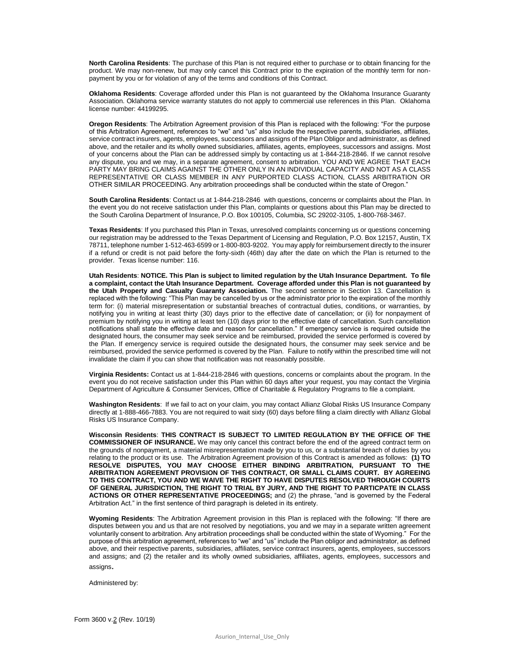**North Carolina Residents**: The purchase of this Plan is not required either to purchase or to obtain financing for the product. We may non-renew, but may only cancel this Contract prior to the expiration of the monthly term for nonpayment by you or for violation of any of the terms and conditions of this Contract.

**Oklahoma Residents**: Coverage afforded under this Plan is not guaranteed by the Oklahoma Insurance Guaranty Association. Oklahoma service warranty statutes do not apply to commercial use references in this Plan. Oklahoma license number: 44199295.

**Oregon Residents**: The Arbitration Agreement provision of this Plan is replaced with the following: "For the purpose of this Arbitration Agreement, references to "we" and "us" also include the respective parents, subsidiaries, affiliates, service contract insurers, agents, employees, successors and assigns of the Plan Obligor and administrator, as defined above, and the retailer and its wholly owned subsidiaries, affiliates, agents, employees, successors and assigns. Most of your concerns about the Plan can be addressed simply by contacting us at 1-844-218-2846. If we cannot resolve any dispute, you and we may, in a separate agreement, consent to arbitration. YOU AND WE AGREE THAT EACH PARTY MAY BRING CLAIMS AGAINST THE OTHER ONLY IN AN INDIVIDUAL CAPACITY AND NOT AS A CLASS REPRESENTATIVE OR CLASS MEMBER IN ANY PURPORTED CLASS ACTION, CLASS ARBITRATION OR OTHER SIMILAR PROCEEDING. Any arbitration proceedings shall be conducted within the state of Oregon."

**South Carolina Residents**: Contact us at 1-844-218-2846 with questions, concerns or complaints about the Plan. In the event you do not receive satisfaction under this Plan, complaints or questions about this Plan may be directed to the South Carolina Department of Insurance, P.O. Box 100105, Columbia, SC 29202-3105, 1-800-768-3467.

**Texas Residents**: If you purchased this Plan in Texas, unresolved complaints concerning us or questions concerning our registration may be addressed to the Texas Department of Licensing and Regulation, P.O. Box 12157, Austin, TX 78711, telephone number 1-512-463-6599 or 1-800-803-9202. You may apply for reimbursement directly to the insurer if a refund or credit is not paid before the forty-sixth (46th) day after the date on which the Plan is returned to the provider. Texas license number: 116.

**Utah Residents**: **NOTICE. This Plan is subject to limited regulation by the Utah Insurance Department. To file a complaint, contact the Utah Insurance Department. Coverage afforded under this Plan is not guaranteed by the Utah Property and Casualty Guaranty Association.** The second sentence in Section 13. Cancellation is replaced with the following: "This Plan may be cancelled by us or the administrator prior to the expiration of the monthly term for: (i) material misrepresentation or substantial breaches of contractual duties, conditions, or warranties, by notifying you in writing at least thirty (30) days prior to the effective date of cancellation; or (ii) for nonpayment of premium by notifying you in writing at least ten (10) days prior to the effective date of cancellation. Such cancellation notifications shall state the effective date and reason for cancellation." If emergency service is required outside the designated hours, the consumer may seek service and be reimbursed, provided the service performed is covered by the Plan. If emergency service is required outside the designated hours, the consumer may seek service and be reimbursed, provided the service performed is covered by the Plan. Failure to notify within the prescribed time will not invalidate the claim if you can show that notification was not reasonably possible.

**Virginia Residents:** Contact us at 1-844-218-2846 with questions, concerns or complaints about the program. In the event you do not receive satisfaction under this Plan within 60 days after your request, you may contact the Virginia Department of Agriculture & Consumer Services, Office of Charitable & Regulatory Programs to file a complaint.

**Washington Residents**: If we fail to act on your claim, you may contact Allianz Global Risks US Insurance Company directly at 1-888-466-7883. You are not required to wait sixty (60) days before filing a claim directly with Allianz Global Risks US Insurance Company.

**Wisconsin Residents**: **THIS CONTRACT IS SUBJECT TO LIMITED REGULATION BY THE OFFICE OF THE COMMISSIONER OF INSURANCE.** We may only cancel this contract before the end of the agreed contract term on the grounds of nonpayment, a material misrepresentation made by you to us, or a substantial breach of duties by you relating to the product or its use. The Arbitration Agreement provision of this Contract is amended as follows: **(1) TO RESOLVE DISPUTES, YOU MAY CHOOSE EITHER BINDING ARBITRATION, PURSUANT TO THE ARBITRATION AGREEMENT PROVISION OF THIS CONTRACT, OR SMALL CLAIMS COURT. BY AGREEING TO THIS CONTRACT, YOU AND WE WAIVE THE RIGHT TO HAVE DISPUTES RESOLVED THROUGH COURTS OF GENERAL JURISDICTION, THE RIGHT TO TRIAL BY JURY, AND THE RIGHT TO PARTICPATE IN CLASS ACTIONS OR OTHER REPRESENTATIVE PROCEEDINGS;** and (2) the phrase, "and is governed by the Federal Arbitration Act." in the first sentence of third paragraph is deleted in its entirety.

**Wyoming Residents**: The Arbitration Agreement provision in this Plan is replaced with the following: "If there are disputes between you and us that are not resolved by negotiations, you and we may in a separate written agreement voluntarily consent to arbitration. Any arbitration proceedings shall be conducted within the state of Wyoming." For the purpose of this arbitration agreement, references to "we" and "us" include the Plan obligor and administrator, as defined above, and their respective parents, subsidiaries, affiliates, service contract insurers, agents, employees, successors and assigns; and (2) the retailer and its wholly owned subsidiaries, affiliates, agents, employees, successors and assigns.

Administered by: